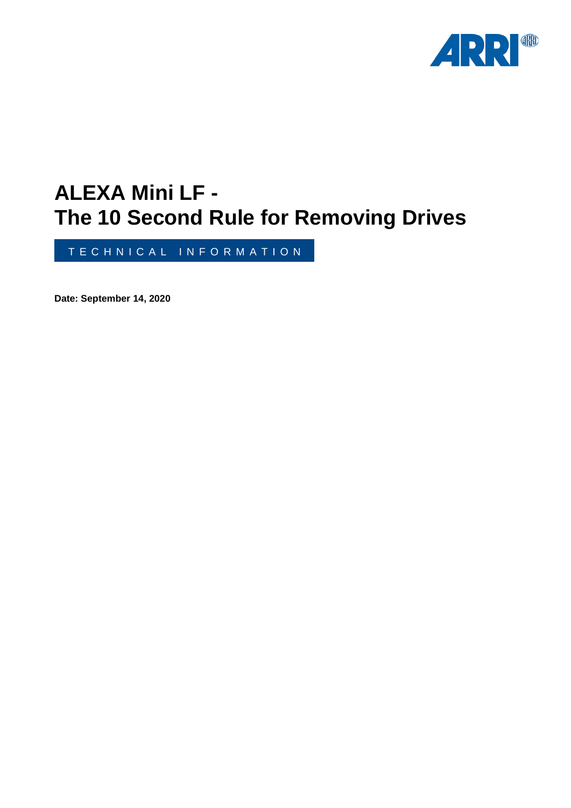

# **ALEXA Mini LF - The 10 Second Rule for Removing Drives**

T E C H N I C A L I N F O R M A T I O N

**Date: September 14, 2020**